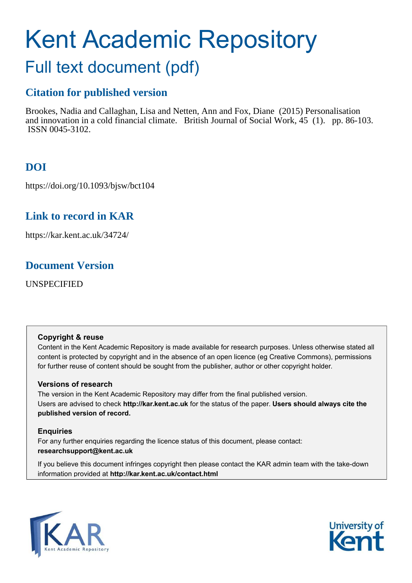# Kent Academic Repository Full text document (pdf)

# **Citation for published version**

Brookes, Nadia and Callaghan, Lisa and Netten, Ann and Fox, Diane (2015) Personalisation and innovation in a cold financial climate. British Journal of Social Work, 45 (1). pp. 86-103. ISSN 0045-3102.

# **DOI**

https://doi.org/10.1093/bjsw/bct104

# **Link to record in KAR**

https://kar.kent.ac.uk/34724/

# **Document Version**

UNSPECIFIED

# **Copyright & reuse**

Content in the Kent Academic Repository is made available for research purposes. Unless otherwise stated all content is protected by copyright and in the absence of an open licence (eg Creative Commons), permissions for further reuse of content should be sought from the publisher, author or other copyright holder.

# **Versions of research**

The version in the Kent Academic Repository may differ from the final published version. Users are advised to check **http://kar.kent.ac.uk** for the status of the paper. **Users should always cite the published version of record.**

# **Enquiries**

For any further enquiries regarding the licence status of this document, please contact: **researchsupport@kent.ac.uk**

If you believe this document infringes copyright then please contact the KAR admin team with the take-down information provided at **http://kar.kent.ac.uk/contact.html**



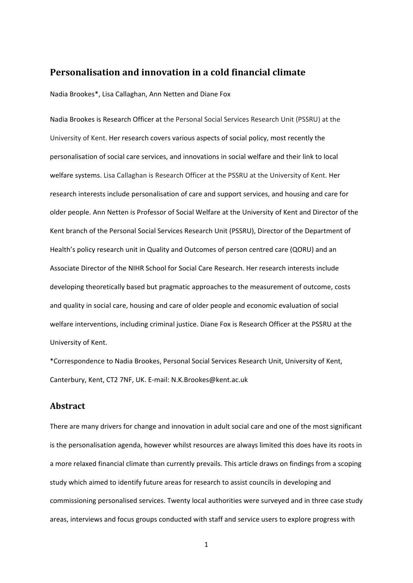# **Personalisation and innovation in a cold financial climate**

Nadia Brookes\*, Lisa Callaghan, Ann Netten and Diane Fox

Nadia Brookes is Research Officer at the Personal Social Services Research Unit (PSSRU) at the University of Kent. Her research covers various aspects of social policy, most recently the personalisation of social care services, and innovations in social welfare and their link to local welfare systems. Lisa Callaghan is Research Officer at the PSSRU at the University of Kent. Her research interests include personalisation of care and support services, and housing and care for older people. Ann Netten is Professor of Social Welfare at the University of Kent and Director of the Kent branch of the Personal Social Services Research Unit (PSSRU), Director of the Department of Health's policy research unit in Quality and Outcomes of person centred care (QORU) and an Associate Director of the NIHR School for Social Care Research. Her research interests include developing theoretically based but pragmatic approaches to the measurement of outcome, costs and quality in social care, housing and care of older people and economic evaluation of social welfare interventions, including criminal justice. Diane Fox is Research Officer at the PSSRU at the University of Kent.

\*Correspondence to Nadia Brookes, Personal Social Services Research Unit, University of Kent, Canterbury, Kent, CT2 7NF, UK. E-mail: N.K.Brookes@kent.ac.uk

## **Abstract**

There are many drivers for change and innovation in adult social care and one of the most significant is the personalisation agenda, however whilst resources are always limited this does have its roots in a more relaxed financial climate than currently prevails. This article draws on findings from a scoping study which aimed to identify future areas for research to assist councils in developing and commissioning personalised services. Twenty local authorities were surveyed and in three case study areas, interviews and focus groups conducted with staff and service users to explore progress with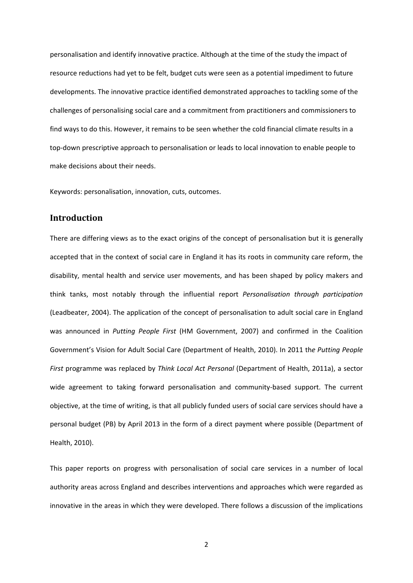personalisation and identify innovative practice. Although at the time of the study the impact of resource reductions had yet to be felt, budget cuts were seen as a potential impediment to future developments. The innovative practice identified demonstrated approaches to tackling some of the challenges of personalising social care and a commitment from practitioners and commissioners to find ways to do this. However, it remains to be seen whether the cold financial climate results in a top-down prescriptive approach to personalisation or leads to local innovation to enable people to make decisions about their needs.

Keywords: personalisation, innovation, cuts, outcomes.

## **Introduction**

There are differing views as to the exact origins of the concept of personalisation but it is generally accepted that in the context of social care in England it has its roots in community care reform, the disability, mental health and service user movements, and has been shaped by policy makers and think tanks, most notably through the influential report *Personalisation through participation* (Leadbeater, 2004). The application of the concept of personalisation to adult social care in England was announced in *Putting People First* (HM Government, 2007) and confirmed in the Coalition Governmentís Vision for Adult Social Care (Department of Health, 2010). In 2011 th*e Putting People First* programme was replaced by *Think Local Act Personal* (Department of Health, 2011a), a sector wide agreement to taking forward personalisation and community-based support. The current objective, at the time of writing, is that all publicly funded users of social care services should have a personal budget (PB) by April 2013 in the form of a direct payment where possible (Department of Health, 2010).

This paper reports on progress with personalisation of social care services in a number of local authority areas across England and describes interventions and approaches which were regarded as innovative in the areas in which they were developed. There follows a discussion of the implications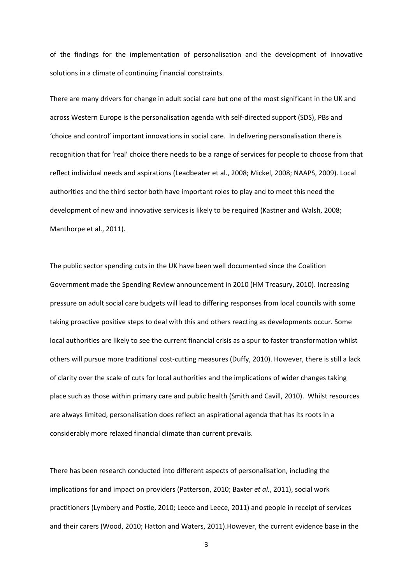of the findings for the implementation of personalisation and the development of innovative solutions in a climate of continuing financial constraints.

There are many drivers for change in adult social care but one of the most significant in the UK and across Western Europe is the personalisation agenda with self-directed support (SDS), PBs and ëchoice and controlí important innovations in social care. In delivering personalisation there is recognition that for 'real' choice there needs to be a range of services for people to choose from that reflect individual needs and aspirations (Leadbeater et al., 2008; Mickel, 2008; NAAPS, 2009). Local authorities and the third sector both have important roles to play and to meet this need the development of new and innovative services is likely to be required (Kastner and Walsh, 2008; Manthorpe et al., 2011).

The public sector spending cuts in the UK have been well documented since the Coalition Government made the Spending Review announcement in 2010 (HM Treasury, 2010). Increasing pressure on adult social care budgets will lead to differing responses from local councils with some taking proactive positive steps to deal with this and others reacting as developments occur. Some local authorities are likely to see the current financial crisis as a spur to faster transformation whilst others will pursue more traditional cost-cutting measures (Duffy, 2010). However, there is still a lack of clarity over the scale of cuts for local authorities and the implications of wider changes taking place such as those within primary care and public health (Smith and Cavill, 2010). Whilst resources are always limited, personalisation does reflect an aspirational agenda that has its roots in a considerably more relaxed financial climate than current prevails.

There has been research conducted into different aspects of personalisation, including the implications for and impact on providers (Patterson, 2010; Baxter *et al.*, 2011), social work practitioners (Lymbery and Postle, 2010; Leece and Leece, 2011) and people in receipt of services and their carers (Wood, 2010; Hatton and Waters, 2011).However, the current evidence base in the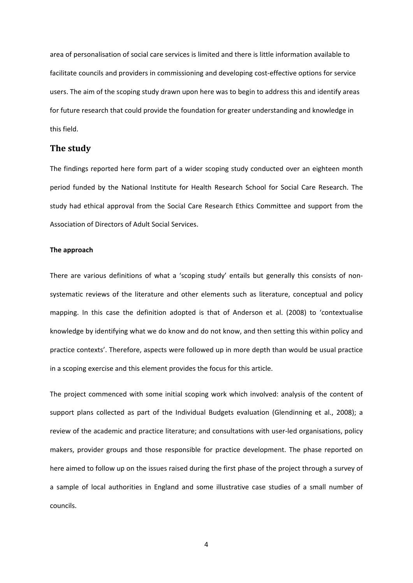area of personalisation of social care services is limited and there is little information available to facilitate councils and providers in commissioning and developing cost-effective options for service users. The aim of the scoping study drawn upon here was to begin to address this and identify areas for future research that could provide the foundation for greater understanding and knowledge in this field.

### **The study**

The findings reported here form part of a wider scoping study conducted over an eighteen month period funded by the National Institute for Health Research School for Social Care Research. The study had ethical approval from the Social Care Research Ethics Committee and support from the Association of Directors of Adult Social Services.

#### **The approach**

There are various definitions of what a 'scoping study' entails but generally this consists of nonsystematic reviews of the literature and other elements such as literature, conceptual and policy mapping. In this case the definition adopted is that of Anderson et al. (2008) to 'contextualise knowledge by identifying what we do know and do not know, and then setting this within policy and practice contextsí. Therefore, aspects were followed up in more depth than would be usual practice in a scoping exercise and this element provides the focus for this article.

The project commenced with some initial scoping work which involved: analysis of the content of support plans collected as part of the Individual Budgets evaluation (Glendinning et al., 2008); a review of the academic and practice literature; and consultations with user-led organisations, policy makers, provider groups and those responsible for practice development. The phase reported on here aimed to follow up on the issues raised during the first phase of the project through a survey of a sample of local authorities in England and some illustrative case studies of a small number of councils.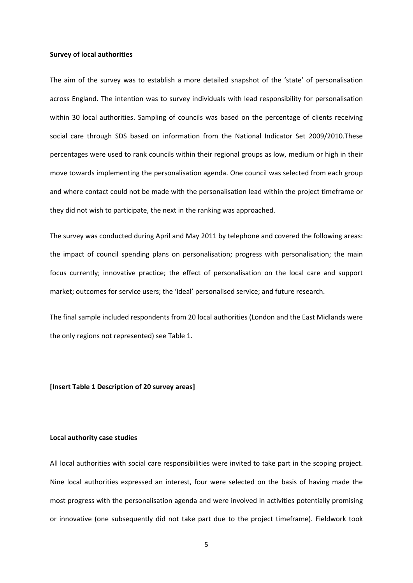#### **Survey of local authorities**

The aim of the survey was to establish a more detailed snapshot of the 'state' of personalisation across England. The intention was to survey individuals with lead responsibility for personalisation within 30 local authorities. Sampling of councils was based on the percentage of clients receiving social care through SDS based on information from the National Indicator Set 2009/2010.These percentages were used to rank councils within their regional groups as low, medium or high in their move towards implementing the personalisation agenda. One council was selected from each group and where contact could not be made with the personalisation lead within the project timeframe or they did not wish to participate, the next in the ranking was approached.

The survey was conducted during April and May 2011 by telephone and covered the following areas: the impact of council spending plans on personalisation; progress with personalisation; the main focus currently; innovative practice; the effect of personalisation on the local care and support market; outcomes for service users; the 'ideal' personalised service; and future research.

The final sample included respondents from 20 local authorities (London and the East Midlands were the only regions not represented) see Table 1.

#### **[Insert Table 1 Description of 20 survey areas]**

#### **Local authority case studies**

All local authorities with social care responsibilities were invited to take part in the scoping project. Nine local authorities expressed an interest, four were selected on the basis of having made the most progress with the personalisation agenda and were involved in activities potentially promising or innovative (one subsequently did not take part due to the project timeframe). Fieldwork took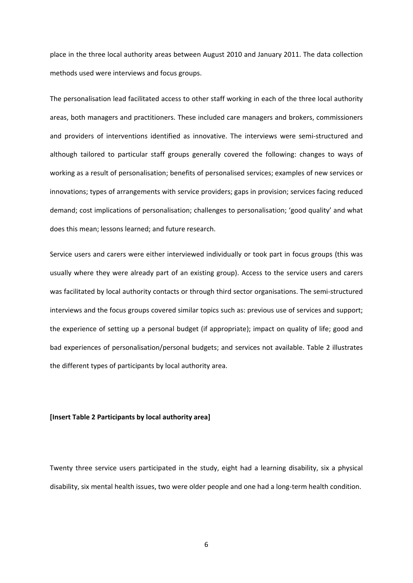place in the three local authority areas between August 2010 and January 2011. The data collection methods used were interviews and focus groups.

The personalisation lead facilitated access to other staff working in each of the three local authority areas, both managers and practitioners. These included care managers and brokers, commissioners and providers of interventions identified as innovative. The interviews were semi-structured and although tailored to particular staff groups generally covered the following: changes to ways of working as a result of personalisation; benefits of personalised services; examples of new services or innovations; types of arrangements with service providers; gaps in provision; services facing reduced demand; cost implications of personalisation; challenges to personalisation; 'good quality' and what does this mean; lessons learned; and future research.

Service users and carers were either interviewed individually or took part in focus groups (this was usually where they were already part of an existing group). Access to the service users and carers was facilitated by local authority contacts or through third sector organisations. The semi-structured interviews and the focus groups covered similar topics such as: previous use of services and support; the experience of setting up a personal budget (if appropriate); impact on quality of life; good and bad experiences of personalisation/personal budgets; and services not available. Table 2 illustrates the different types of participants by local authority area.

#### **[Insert Table 2 Participants by local authority area]**

Twenty three service users participated in the study, eight had a learning disability, six a physical disability, six mental health issues, two were older people and one had a long-term health condition.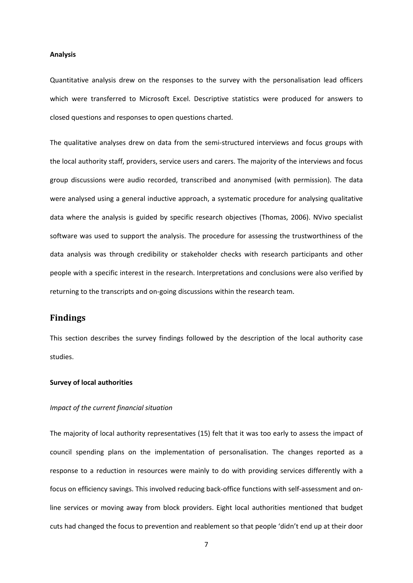#### **Analysis**

Quantitative analysis drew on the responses to the survey with the personalisation lead officers which were transferred to Microsoft Excel. Descriptive statistics were produced for answers to closed questions and responses to open questions charted.

The qualitative analyses drew on data from the semi-structured interviews and focus groups with the local authority staff, providers, service users and carers. The majority of the interviews and focus group discussions were audio recorded, transcribed and anonymised (with permission). The data were analysed using a general inductive approach, a systematic procedure for analysing qualitative data where the analysis is guided by specific research objectives (Thomas, 2006). NVivo specialist software was used to support the analysis. The procedure for assessing the trustworthiness of the data analysis was through credibility or stakeholder checks with research participants and other people with a specific interest in the research. Interpretations and conclusions were also verified by returning to the transcripts and on-going discussions within the research team.

## **Findings**

This section describes the survey findings followed by the description of the local authority case studies.

#### **Survey of local authorities**

#### *Impact of the current financial situation*

The majority of local authority representatives (15) felt that it was too early to assess the impact of council spending plans on the implementation of personalisation. The changes reported as a response to a reduction in resources were mainly to do with providing services differently with a focus on efficiency savings. This involved reducing back-office functions with self-assessment and online services or moving away from block providers. Eight local authorities mentioned that budget cuts had changed the focus to prevention and reablement so that people ëdidnít end up at their door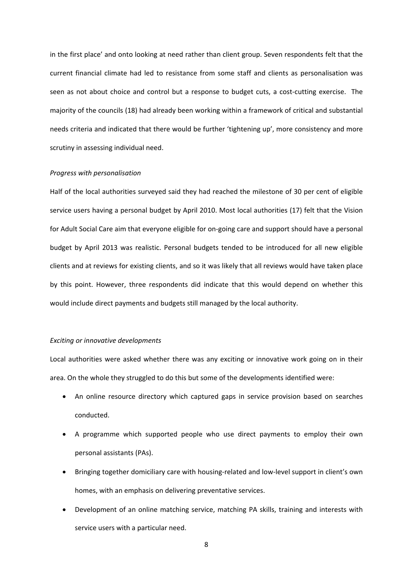in the first place' and onto looking at need rather than client group. Seven respondents felt that the current financial climate had led to resistance from some staff and clients as personalisation was seen as not about choice and control but a response to budget cuts, a cost-cutting exercise. The majority of the councils (18) had already been working within a framework of critical and substantial needs criteria and indicated that there would be further 'tightening up', more consistency and more scrutiny in assessing individual need.

#### *Progress with personalisation*

Half of the local authorities surveyed said they had reached the milestone of 30 per cent of eligible service users having a personal budget by April 2010. Most local authorities (17) felt that the Vision for Adult Social Care aim that everyone eligible for on-going care and support should have a personal budget by April 2013 was realistic. Personal budgets tended to be introduced for all new eligible clients and at reviews for existing clients, and so it was likely that all reviews would have taken place by this point. However, three respondents did indicate that this would depend on whether this would include direct payments and budgets still managed by the local authority.

#### *Exciting or innovative developments*

Local authorities were asked whether there was any exciting or innovative work going on in their area. On the whole they struggled to do this but some of the developments identified were:

- An online resource directory which captured gaps in service provision based on searches conducted.
- A programme which supported people who use direct payments to employ their own personal assistants (PAs).
- Bringing together domiciliary care with housing-related and low-level support in client's own homes, with an emphasis on delivering preventative services.
- Development of an online matching service, matching PA skills, training and interests with service users with a particular need.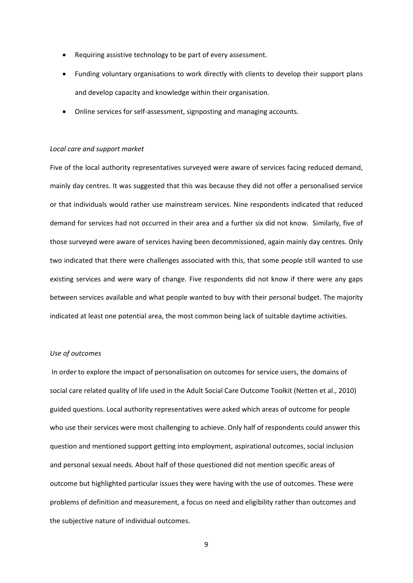- Requiring assistive technology to be part of every assessment.
- Funding voluntary organisations to work directly with clients to develop their support plans and develop capacity and knowledge within their organisation.
- Online services for self-assessment, signposting and managing accounts.

#### *Local care and support market*

Five of the local authority representatives surveyed were aware of services facing reduced demand, mainly day centres. It was suggested that this was because they did not offer a personalised service or that individuals would rather use mainstream services. Nine respondents indicated that reduced demand for services had not occurred in their area and a further six did not know. Similarly, five of those surveyed were aware of services having been decommissioned, again mainly day centres. Only two indicated that there were challenges associated with this, that some people still wanted to use existing services and were wary of change. Five respondents did not know if there were any gaps between services available and what people wanted to buy with their personal budget. The majority indicated at least one potential area, the most common being lack of suitable daytime activities.

#### *Use of outcomes*

In order to explore the impact of personalisation on outcomes for service users, the domains of social care related quality of life used in the Adult Social Care Outcome Toolkit (Netten et al., 2010) guided questions. Local authority representatives were asked which areas of outcome for people who use their services were most challenging to achieve. Only half of respondents could answer this question and mentioned support getting into employment, aspirational outcomes, social inclusion and personal sexual needs. About half of those questioned did not mention specific areas of outcome but highlighted particular issues they were having with the use of outcomes. These were problems of definition and measurement, a focus on need and eligibility rather than outcomes and the subjective nature of individual outcomes.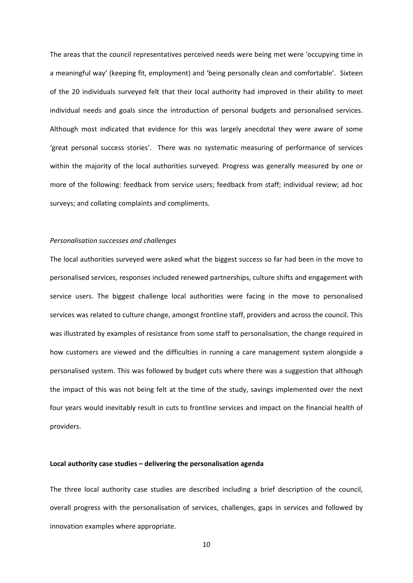The areas that the council representatives perceived needs were being met were ëoccupying time in a meaningful way' (keeping fit, employment) and 'being personally clean and comfortable'. Sixteen of the 20 individuals surveyed felt that their local authority had improved in their ability to meet individual needs and goals since the introduction of personal budgets and personalised services. Although most indicated that evidence for this was largely anecdotal they were aware of some ëgreat personal success storiesí. There was no systematic measuring of performance of services within the majority of the local authorities surveyed. Progress was generally measured by one or more of the following: feedback from service users; feedback from staff; individual review; ad hoc surveys; and collating complaints and compliments.

#### *Personalisation successes and challenges*

The local authorities surveyed were asked what the biggest success so far had been in the move to personalised services, responses included renewed partnerships, culture shifts and engagement with service users. The biggest challenge local authorities were facing in the move to personalised services was related to culture change, amongst frontline staff, providers and across the council. This was illustrated by examples of resistance from some staff to personalisation, the change required in how customers are viewed and the difficulties in running a care management system alongside a personalised system. This was followed by budget cuts where there was a suggestion that although the impact of this was not being felt at the time of the study, savings implemented over the next four years would inevitably result in cuts to frontline services and impact on the financial health of providers.

#### **Local authority case studies ñ delivering the personalisation agenda**

The three local authority case studies are described including a brief description of the council, overall progress with the personalisation of services, challenges, gaps in services and followed by innovation examples where appropriate.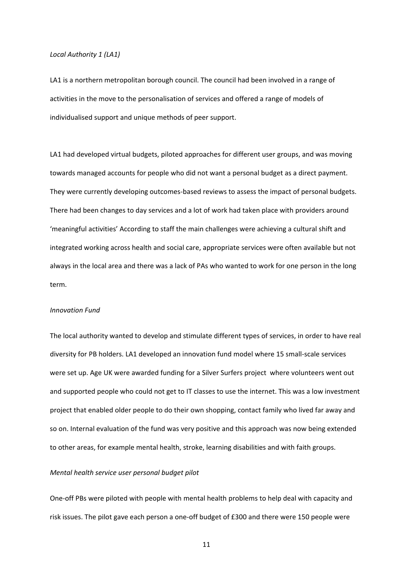#### *Local Authority 1 (LA1)*

LA1 is a northern metropolitan borough council. The council had been involved in a range of activities in the move to the personalisation of services and offered a range of models of individualised support and unique methods of peer support.

LA1 had developed virtual budgets, piloted approaches for different user groups, and was moving towards managed accounts for people who did not want a personal budget as a direct payment. They were currently developing outcomes-based reviews to assess the impact of personal budgets. There had been changes to day services and a lot of work had taken place with providers around ëmeaningful activitiesí According to staff the main challenges were achieving a cultural shift and integrated working across health and social care, appropriate services were often available but not always in the local area and there was a lack of PAs who wanted to work for one person in the long term.

#### *Innovation Fund*

The local authority wanted to develop and stimulate different types of services, in order to have real diversity for PB holders. LA1 developed an innovation fund model where 15 small-scale services were set up. Age UK were awarded funding for a Silver Surfers project where volunteers went out and supported people who could not get to IT classes to use the internet. This was a low investment project that enabled older people to do their own shopping, contact family who lived far away and so on. Internal evaluation of the fund was very positive and this approach was now being extended to other areas, for example mental health, stroke, learning disabilities and with faith groups.

#### *Mental health service user personal budget pilot*

One-off PBs were piloted with people with mental health problems to help deal with capacity and risk issues. The pilot gave each person a one-off budget of £300 and there were 150 people were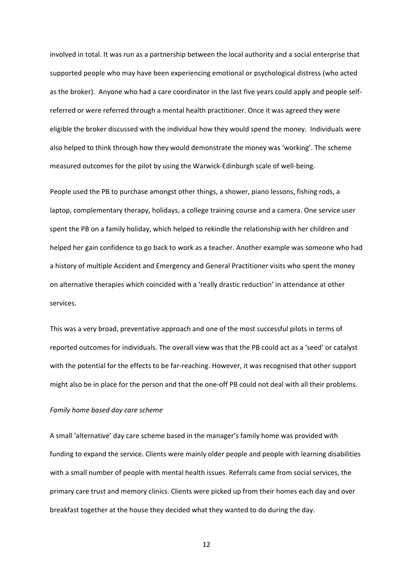involved in total. It was run as a partnership between the local authority and a social enterprise that supported people who may have been experiencing emotional or psychological distress (who acted as the broker). Anyone who had a care coordinator in the last five years could apply and people selfreferred or were referred through a mental health practitioner. Once it was agreed they were eligible the broker discussed with the individual how they would spend the money. Individuals were also helped to think through how they would demonstrate the money was 'working'. The scheme measured outcomes for the pilot by using the Warwick-Edinburgh scale of well-being.

People used the PB to purchase amongst other things, a shower, piano lessons, fishing rods, a laptop, complementary therapy, holidays, a college training course and a camera. One service user spent the PB on a family holiday, which helped to rekindle the relationship with her children and helped her gain confidence to go back to work as a teacher. Another example was someone who had a history of multiple Accident and Emergency and General Practitioner visits who spent the money on alternative therapies which coincided with a 'really drastic reduction' in attendance at other services.

This was a very broad, preventative approach and one of the most successful pilots in terms of reported outcomes for individuals. The overall view was that the PB could act as a 'seed' or catalyst with the potential for the effects to be far-reaching. However, it was recognised that other support might also be in place for the person and that the one-off PB could not deal with all their problems.

#### *Family home based day care scheme*

A small 'alternative' day care scheme based in the manager's family home was provided with funding to expand the service. Clients were mainly older people and people with learning disabilities with a small number of people with mental health issues. Referrals came from social services, the primary care trust and memory clinics. Clients were picked up from their homes each day and over breakfast together at the house they decided what they wanted to do during the day.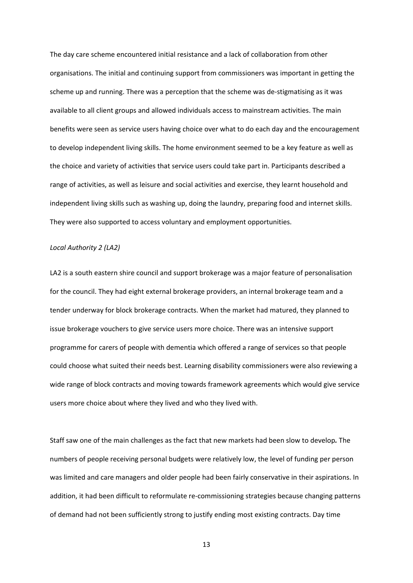The day care scheme encountered initial resistance and a lack of collaboration from other organisations. The initial and continuing support from commissioners was important in getting the scheme up and running. There was a perception that the scheme was de-stigmatising as it was available to all client groups and allowed individuals access to mainstream activities. The main benefits were seen as service users having choice over what to do each day and the encouragement to develop independent living skills. The home environment seemed to be a key feature as well as the choice and variety of activities that service users could take part in. Participants described a range of activities, as well as leisure and social activities and exercise, they learnt household and independent living skills such as washing up, doing the laundry, preparing food and internet skills. They were also supported to access voluntary and employment opportunities.

#### *Local Authority 2 (LA2)*

LA2 is a south eastern shire council and support brokerage was a major feature of personalisation for the council. They had eight external brokerage providers, an internal brokerage team and a tender underway for block brokerage contracts. When the market had matured, they planned to issue brokerage vouchers to give service users more choice. There was an intensive support programme for carers of people with dementia which offered a range of services so that people could choose what suited their needs best. Learning disability commissioners were also reviewing a wide range of block contracts and moving towards framework agreements which would give service users more choice about where they lived and who they lived with.

Staff saw one of the main challenges as the fact that new markets had been slow to develop*.* The numbers of people receiving personal budgets were relatively low, the level of funding per person was limited and care managers and older people had been fairly conservative in their aspirations. In addition, it had been difficult to reformulate re-commissioning strategies because changing patterns of demand had not been sufficiently strong to justify ending most existing contracts. Day time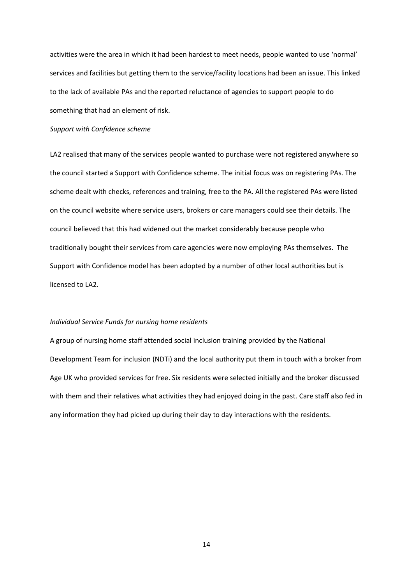activities were the area in which it had been hardest to meet needs, people wanted to use 'normal' services and facilities but getting them to the service/facility locations had been an issue. This linked to the lack of available PAs and the reported reluctance of agencies to support people to do something that had an element of risk.

#### *Support with Confidence scheme*

LA2 realised that many of the services people wanted to purchase were not registered anywhere so the council started a Support with Confidence scheme. The initial focus was on registering PAs. The scheme dealt with checks, references and training, free to the PA. All the registered PAs were listed on the council website where service users, brokers or care managers could see their details. The council believed that this had widened out the market considerably because people who traditionally bought their services from care agencies were now employing PAs themselves. The Support with Confidence model has been adopted by a number of other local authorities but is licensed to LA2.

#### *Individual Service Funds for nursing home residents*

A group of nursing home staff attended social inclusion training provided by the National Development Team for inclusion (NDTi) and the local authority put them in touch with a broker from Age UK who provided services for free. Six residents were selected initially and the broker discussed with them and their relatives what activities they had enjoyed doing in the past. Care staff also fed in any information they had picked up during their day to day interactions with the residents.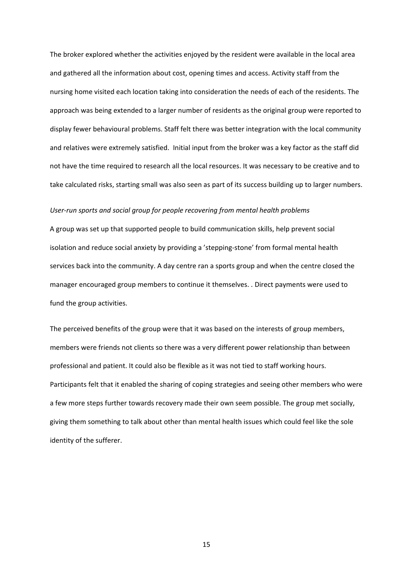The broker explored whether the activities enjoyed by the resident were available in the local area and gathered all the information about cost, opening times and access. Activity staff from the nursing home visited each location taking into consideration the needs of each of the residents. The approach was being extended to a larger number of residents as the original group were reported to display fewer behavioural problems. Staff felt there was better integration with the local community and relatives were extremely satisfied. Initial input from the broker was a key factor as the staff did not have the time required to research all the local resources. It was necessary to be creative and to take calculated risks, starting small was also seen as part of its success building up to larger numbers.

#### *Userどrun sports and social group for people recovering from mental health problems*

A group was set up that supported people to build communication skills, help prevent social isolation and reduce social anxiety by providing a 'stepping-stone' from formal mental health services back into the community. A day centre ran a sports group and when the centre closed the manager encouraged group members to continue it themselves. . Direct payments were used to fund the group activities.

The perceived benefits of the group were that it was based on the interests of group members, members were friends not clients so there was a very different power relationship than between professional and patient. It could also be flexible as it was not tied to staff working hours. Participants felt that it enabled the sharing of coping strategies and seeing other members who were a few more steps further towards recovery made their own seem possible. The group met socially, giving them something to talk about other than mental health issues which could feel like the sole identity of the sufferer.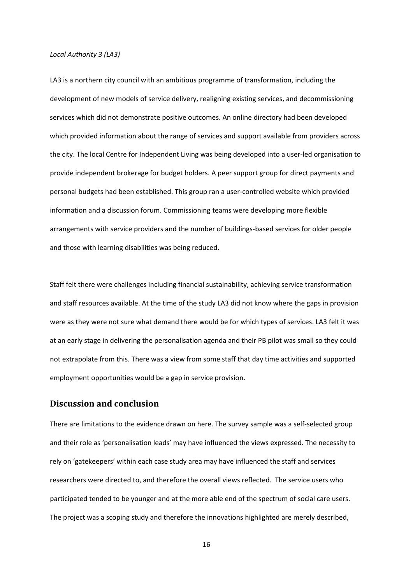#### *Local Authority 3 (LA3)*

LA3 is a northern city council with an ambitious programme of transformation, including the development of new models of service delivery, realigning existing services, and decommissioning services which did not demonstrate positive outcomes. An online directory had been developed which provided information about the range of services and support available from providers across the city. The local Centre for Independent Living was being developed into a user-led organisation to provide independent brokerage for budget holders. A peer support group for direct payments and personal budgets had been established. This group ran a user-controlled website which provided information and a discussion forum. Commissioning teams were developing more flexible arrangements with service providers and the number of buildings-based services for older people and those with learning disabilities was being reduced.

Staff felt there were challenges including financial sustainability, achieving service transformation and staff resources available. At the time of the study LA3 did not know where the gaps in provision were as they were not sure what demand there would be for which types of services. LA3 felt it was at an early stage in delivering the personalisation agenda and their PB pilot was small so they could not extrapolate from this. There was a view from some staff that day time activities and supported employment opportunities would be a gap in service provision.

#### **Discussion and conclusion**

There are limitations to the evidence drawn on here. The survey sample was a self-selected group and their role as 'personalisation leads' may have influenced the views expressed. The necessity to rely on 'gatekeepers' within each case study area may have influenced the staff and services researchers were directed to, and therefore the overall views reflected. The service users who participated tended to be younger and at the more able end of the spectrum of social care users. The project was a scoping study and therefore the innovations highlighted are merely described,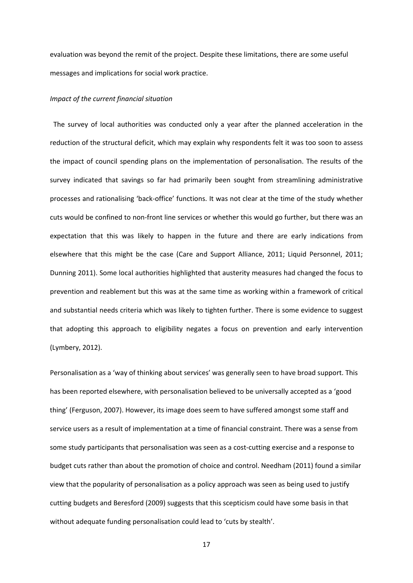evaluation was beyond the remit of the project. Despite these limitations, there are some useful messages and implications for social work practice.

#### *Impact of the current financial situation*

 The survey of local authorities was conducted only a year after the planned acceleration in the reduction of the structural deficit, which may explain why respondents felt it was too soon to assess the impact of council spending plans on the implementation of personalisation. The results of the survey indicated that savings so far had primarily been sought from streamlining administrative processes and rationalising 'back-office' functions. It was not clear at the time of the study whether cuts would be confined to non-front line services or whether this would go further, but there was an expectation that this was likely to happen in the future and there are early indications from elsewhere that this might be the case (Care and Support Alliance, 2011; Liquid Personnel, 2011; Dunning 2011). Some local authorities highlighted that austerity measures had changed the focus to prevention and reablement but this was at the same time as working within a framework of critical and substantial needs criteria which was likely to tighten further. There is some evidence to suggest that adopting this approach to eligibility negates a focus on prevention and early intervention (Lymbery, 2012).

Personalisation as a 'way of thinking about services' was generally seen to have broad support. This has been reported elsewhere, with personalisation believed to be universally accepted as a 'good thing' (Ferguson, 2007). However, its image does seem to have suffered amongst some staff and service users as a result of implementation at a time of financial constraint. There was a sense from some study participants that personalisation was seen as a cost-cutting exercise and a response to budget cuts rather than about the promotion of choice and control. Needham (2011) found a similar view that the popularity of personalisation as a policy approach was seen as being used to justify cutting budgets and Beresford (2009) suggests that this scepticism could have some basis in that without adequate funding personalisation could lead to 'cuts by stealth'.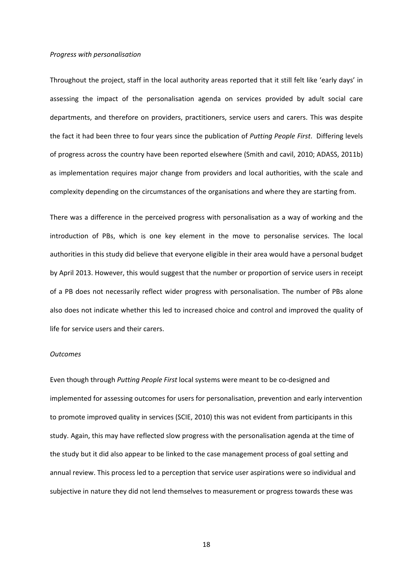#### *Progress with personalisation*

Throughout the project, staff in the local authority areas reported that it still felt like 'early days' in assessing the impact of the personalisation agenda on services provided by adult social care departments, and therefore on providers, practitioners, service users and carers. This was despite the fact it had been three to four years since the publication of *Putting People First*. Differing levels of progress across the country have been reported elsewhere (Smith and cavil, 2010; ADASS, 2011b) as implementation requires major change from providers and local authorities, with the scale and complexity depending on the circumstances of the organisations and where they are starting from.

There was a difference in the perceived progress with personalisation as a way of working and the introduction of PBs, which is one key element in the move to personalise services. The local authorities in this study did believe that everyone eligible in their area would have a personal budget by April 2013. However, this would suggest that the number or proportion of service users in receipt of a PB does not necessarily reflect wider progress with personalisation. The number of PBs alone also does not indicate whether this led to increased choice and control and improved the quality of life for service users and their carers.

#### *Outcomes*

Even though through *Putting People First* local systems were meant to be co-designed and implemented for assessing outcomes for users for personalisation, prevention and early intervention to promote improved quality in services (SCIE, 2010) this was not evident from participants in this study. Again, this may have reflected slow progress with the personalisation agenda at the time of the study but it did also appear to be linked to the case management process of goal setting and annual review. This process led to a perception that service user aspirations were so individual and subjective in nature they did not lend themselves to measurement or progress towards these was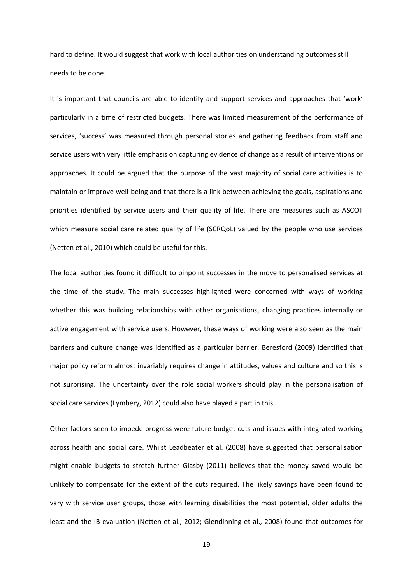hard to define. It would suggest that work with local authorities on understanding outcomes still needs to be done.

It is important that councils are able to identify and support services and approaches that 'work' particularly in a time of restricted budgets. There was limited measurement of the performance of services, 'success' was measured through personal stories and gathering feedback from staff and service users with very little emphasis on capturing evidence of change as a result of interventions or approaches. It could be argued that the purpose of the vast majority of social care activities is to maintain or improve well-being and that there is a link between achieving the goals, aspirations and priorities identified by service users and their quality of life. There are measures such as ASCOT which measure social care related quality of life (SCRQoL) valued by the people who use services (Netten et al., 2010) which could be useful for this.

The local authorities found it difficult to pinpoint successes in the move to personalised services at the time of the study. The main successes highlighted were concerned with ways of working whether this was building relationships with other organisations, changing practices internally or active engagement with service users. However, these ways of working were also seen as the main barriers and culture change was identified as a particular barrier. Beresford (2009) identified that major policy reform almost invariably requires change in attitudes, values and culture and so this is not surprising. The uncertainty over the role social workers should play in the personalisation of social care services (Lymbery, 2012) could also have played a part in this.

Other factors seen to impede progress were future budget cuts and issues with integrated working across health and social care. Whilst Leadbeater et al. (2008) have suggested that personalisation might enable budgets to stretch further Glasby (2011) believes that the money saved would be unlikely to compensate for the extent of the cuts required. The likely savings have been found to vary with service user groups, those with learning disabilities the most potential, older adults the least and the IB evaluation (Netten et al., 2012; Glendinning et al., 2008) found that outcomes for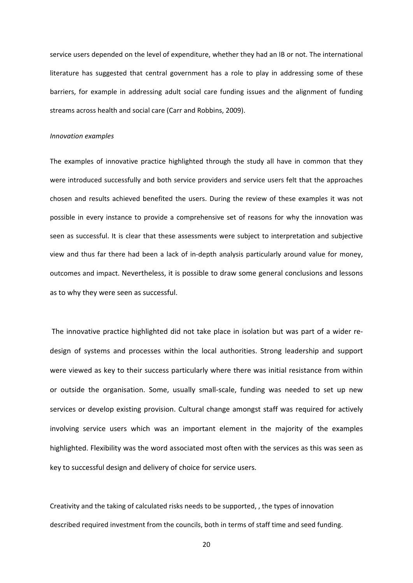service users depended on the level of expenditure, whether they had an IB or not. The international literature has suggested that central government has a role to play in addressing some of these barriers, for example in addressing adult social care funding issues and the alignment of funding streams across health and social care (Carr and Robbins, 2009).

#### *Innovation examples*

The examples of innovative practice highlighted through the study all have in common that they were introduced successfully and both service providers and service users felt that the approaches chosen and results achieved benefited the users. During the review of these examples it was not possible in every instance to provide a comprehensive set of reasons for why the innovation was seen as successful. It is clear that these assessments were subject to interpretation and subjective view and thus far there had been a lack of in-depth analysis particularly around value for money, outcomes and impact. Nevertheless, it is possible to draw some general conclusions and lessons as to why they were seen as successful.

The innovative practice highlighted did not take place in isolation but was part of a wider redesign of systems and processes within the local authorities. Strong leadership and support were viewed as key to their success particularly where there was initial resistance from within or outside the organisation. Some, usually small-scale, funding was needed to set up new services or develop existing provision. Cultural change amongst staff was required for actively involving service users which was an important element in the majority of the examples highlighted. Flexibility was the word associated most often with the services as this was seen as key to successful design and delivery of choice for service users.

Creativity and the taking of calculated risks needs to be supported, , the types of innovation described required investment from the councils, both in terms of staff time and seed funding.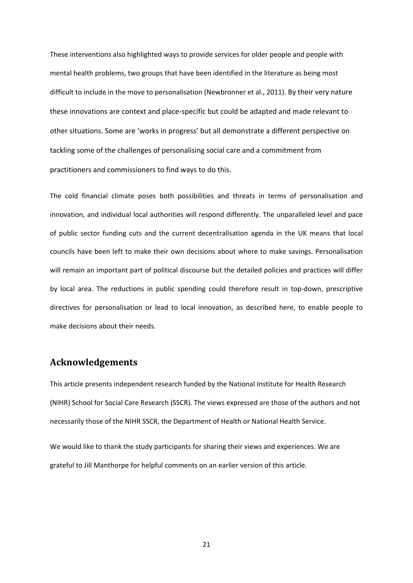These interventions also highlighted ways to provide services for older people and people with mental health problems, two groups that have been identified in the literature as being most difficult to include in the move to personalisation (Newbronner et al., 2011). By their very nature these innovations are context and place-specific but could be adapted and made relevant to other situations. Some are 'works in progress' but all demonstrate a different perspective on tackling some of the challenges of personalising social care and a commitment from practitioners and commissioners to find ways to do this.

The cold financial climate poses both possibilities and threats in terms of personalisation and innovation, and individual local authorities will respond differently. The unparalleled level and pace of public sector funding cuts and the current decentralisation agenda in the UK means that local councils have been left to make their own decisions about where to make savings. Personalisation will remain an important part of political discourse but the detailed policies and practices will differ by local area. The reductions in public spending could therefore result in top-down, prescriptive directives for personalisation or lead to local innovation, as described here, to enable people to make decisions about their needs.

# **Acknowledgements**

This article presents independent research funded by the National Institute for Health Research (NIHR) School for Social Care Research (SSCR). The views expressed are those of the authors and not necessarily those of the NIHR SSCR, the Department of Health or National Health Service.

We would like to thank the study participants for sharing their views and experiences. We are grateful to Jill Manthorpe for helpful comments on an earlier version of this article.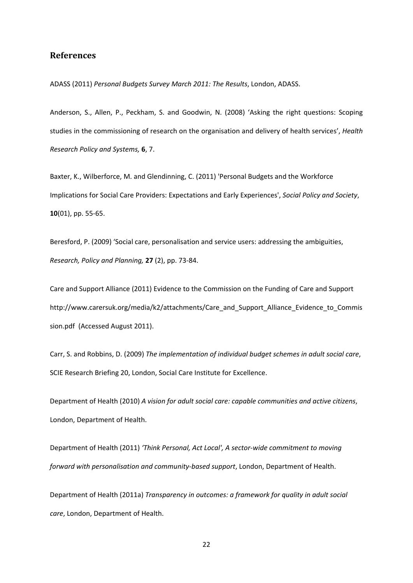## **References**

ADASS (2011) *Personal Budgets Survey March 2011: The Results*, London, ADASS.

Anderson, S., Allen, P., Peckham, S. and Goodwin, N. (2008) 'Asking the right questions: Scoping studies in the commissioning of research on the organisation and delivery of health services', *Health Research Policy and Systems,* **6**, 7.

Baxter, K., Wilberforce, M. and Glendinning, C. (2011) 'Personal Budgets and the Workforce Implications for Social Care Providers: Expectations and Early Experiences', *Social Policy and Society*, **10**(01), pp. 55-65.

Beresford, P. (2009) 'Social care, personalisation and service users: addressing the ambiguities, *Research, Policy and Planning,* 27 (2), pp. 73-84.

Care and Support Alliance (2011) Evidence to the Commission on the Funding of Care and Support http://www.carersuk.org/media/k2/attachments/Care\_and\_Support\_Alliance\_Evidence\_to\_Commis sion.pdf (Accessed August 2011).

Carr, S. and Robbins, D. (2009) *The implementation of individual budget schemes in adult social care*, SCIE Research Briefing 20, London, Social Care Institute for Excellence.

Department of Health (2010) *A vision for adult social care: capable communities and active citizens*, London, Department of Health.

Department of Health (2011) *ëThink Personal, Act Local', A sectorどwide commitment to moving forward with personalisation and communityどbased support*, London, Department of Health.

Department of Health (2011a) *Transparency in outcomes: a framework for quality in adult social care*, London, Department of Health.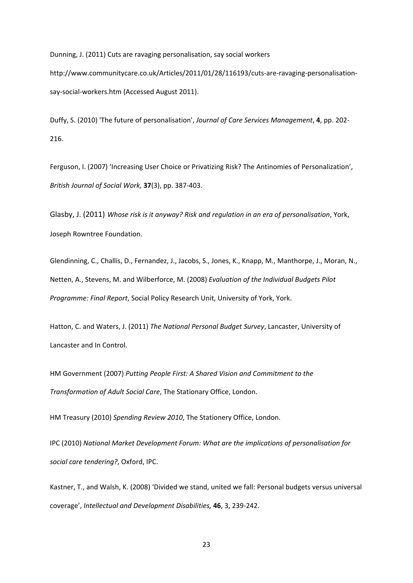Dunning, J. (2011) Cuts are ravaging personalisation, say social workers http://www.communitycare.co.uk/Articles/2011/01/28/116193/cuts-are-ravaging-personalisationsay-social-workers.htm (Accessed August 2011).

Duffy, S. (2010) 'The future of personalisation', *Journal of Care Services Management*, **4**, pp. 202ど 216.

Ferguson, I. (2007) 'Increasing User Choice or Privatizing Risk? The Antinomies of Personalization', *British Journal of Social Work,* 37(3), pp. 387-403.

Glasby, J. (2011) *Whose risk is it anyway? Risk and regulation in an era of personalisation*, York, Joseph Rowntree Foundation.

Glendinning, C., Challis, D., Fernandez, J., Jacobs, S., Jones, K., Knapp, M., Manthorpe, J., Moran, N., Netten, A., Stevens, M. and Wilberforce, M. (2008) *Evaluation of the Individual Budgets Pilot Programme: Final Report*, Social Policy Research Unit, University of York, York.

Hatton, C. and Waters, J. (2011) *The National Personal Budget Survey*, Lancaster, University of Lancaster and In Control.

HM Government (2007) *Putting People First: A Shared Vision and Commitment to the Transformation of Adult Social Care*, The Stationary Office, London.

HM Treasury (2010) *Spending Review 2010*, The Stationery Office, London.

IPC (2010) *National Market Development Forum: What are the implications of personalisation for social care tendering?*, Oxford, IPC.

Kastner, T., and Walsh, K. (2008) 'Divided we stand, united we fall: Personal budgets versus universal coverage', *Intellectual and Development Disabilities*, 46, 3, 239-242.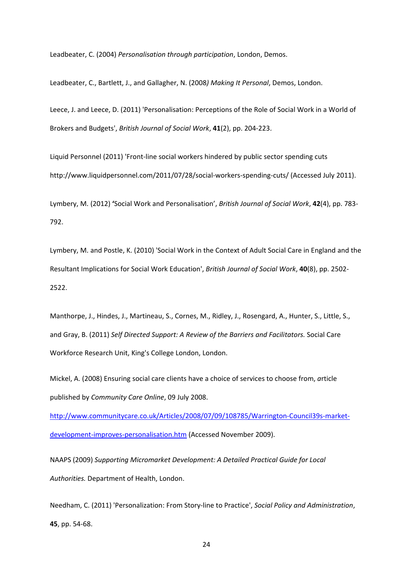Leadbeater, C. (2004) *Personalisation through participation*, London, Demos.

Leadbeater, C., Bartlett, J., and Gallagher, N. (2008*) Making It Personal*, Demos, London.

Leece, J. and Leece, D. (2011) 'Personalisation: Perceptions of the Role of Social Work in a World of Brokers and Budgets', *British Journal of Social Work*, 41(2), pp. 204-223.

Liquid Personnel (2011) 'Front-line social workers hindered by public sector spending cuts http://www.liquidpersonnel.com/2011/07/28/social-workers-spending-cuts/ (Accessed July 2011).

Lymbery, M. (2012) 'Social Work and Personalisation', *British Journal of Social Work*, 42(4), pp. 783-792.

Lymbery, M. and Postle, K. (2010) 'Social Work in the Context of Adult Social Care in England and the Resultant Implications for Social Work Education', *British Journal of Social Work*, 40(8), pp. 2502-2522.

Manthorpe, J., Hindes, J., Martineau, S., Cornes, M., Ridley, J., Rosengard, A., Hunter, S., Little, S., and Gray, B. (2011) *Self Directed Support: A Review of the Barriers and Facilitators.* Social Care Workforce Research Unit, King's College London, London.

Mickel, A. (2008) Ensuring social care clients have a choice of services to choose from, *a*rticle published by *Community Care Online*, 09 July 2008.

http://www.communitycare.co.uk/Articles/2008/07/09/108785/Warrington-Council39s-marketdevelopment-improves-personalisation.htm (Accessed November 2009).

NAAPS (2009) *Supporting Micromarket Development: A Detailed Practical Guide for Local Authorities.* Department of Health, London.

Needham, C. (2011) 'Personalization: From Story-line to Practice', *Social Policy and Administration*, 45, pp. 54-68.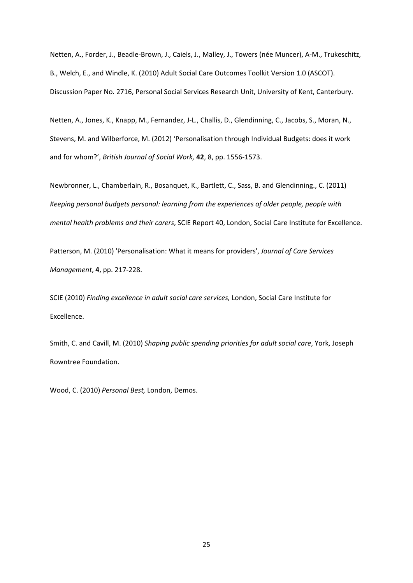Netten, A., Forder, J., Beadle-Brown, J., Caiels, J., Malley, J., Towers (née Muncer), A-M., Trukeschitz, B., Welch, E., and Windle, K. (2010) Adult Social Care Outcomes Toolkit Version 1.0 (ASCOT). Discussion Paper No. 2716, Personal Social Services Research Unit, University of Kent, Canterbury.

Netten, A., Jones, K., Knapp, M., Fernandez, J-L., Challis, D., Glendinning, C., Jacobs, S., Moran, N., Stevens, M. and Wilberforce, M. (2012) 'Personalisation through Individual Budgets: does it work and for whom?', *British Journal of Social Work*, 42, 8, pp. 1556-1573.

Newbronner, L., Chamberlain, R., Bosanquet, K., Bartlett, C., Sass, B. and Glendinning., C. (2011) *Keeping personal budgets personal: learning from the experiences of older people, people with mental health problems and their carers*, SCIE Report 40, London, Social Care Institute for Excellence.

Patterson, M. (2010) 'Personalisation: What it means for providers', *Journal of Care Services Management*, **4**, pp. 217-228.

SCIE (2010) *Finding excellence in adult social care services,* London, Social Care Institute for Excellence.

Smith, C. and Cavill, M. (2010) *Shaping public spending priorities for adult social care*, York, Joseph Rowntree Foundation.

Wood, C. (2010) *Personal Best,* London, Demos.